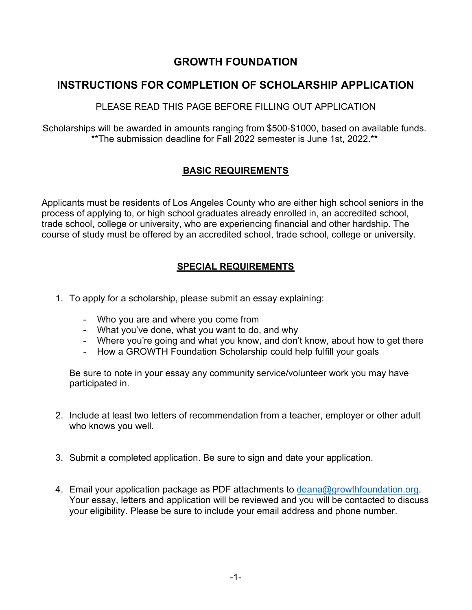## **GROWTH FOUNDATION**

## **INSTRUCTIONS FOR COMPLETION OF SCHOLARSHIP APPLICATION**

PLEASE READ THIS PAGE BEFORE FILLING OUT APPLICATION

Scholarships will be awarded in amounts ranging from \$500-\$1000, based on available funds. \*\*The submission deadline for Fall 2022 semester is June 1st, 2022.\*\*

### **BASIC REQUIREMENTS**

Applicants must be residents of Los Angeles County who are either high school seniors in the process of applying to, or high school graduates already enrolled in, an accredited school, trade school, college or university, who are experiencing financial and other hardship. The course of study must be offered by an accredited school, trade school, college or university.

### **SPECIAL REQUIREMENTS**

- 1. To apply for a scholarship, please submit an essay explaining:
	- Who you are and where you come from
	- What you've done, what you want to do, and why
	- Where you're going and what you know, and don't know, about how to get there
	- How a GROWTH Foundation Scholarship could help fulfill your goals

Be sure to note in your essay any community service/volunteer work you may have participated in.

- 2. Include at least two letters of recommendation from a teacher, employer or other adult who knows you well.
- 3. Submit a completed application. Be sure to sign and date your application.
- 4. Email your application package as PDF attachments to deana@growthfoundation.org. Your essay, letters and application will be reviewed and you will be contacted to discuss your eligibility. Please be sure to include your email address and phone number.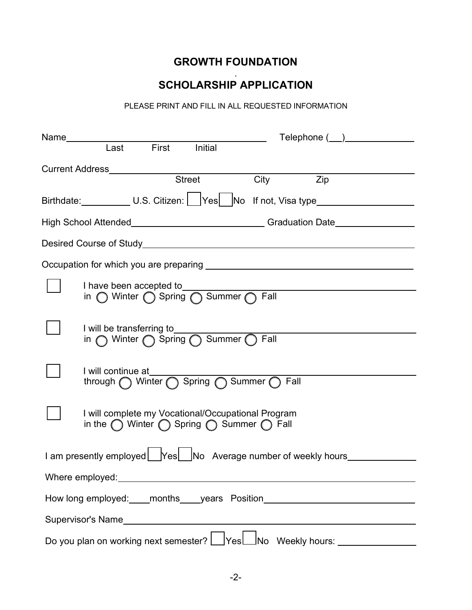# **GROWTH FOUNDATION**

#### . **SCHOLARSHIP APPLICATION**

PLEASE PRINT AND FILL IN ALL REQUESTED INFORMATION

|                                                                                                                                | Telephone ( <u>)</u> |  |
|--------------------------------------------------------------------------------------------------------------------------------|----------------------|--|
| First Initial<br>Last                                                                                                          |                      |  |
| <b>Street</b>                                                                                                                  | Zip<br>City          |  |
| Birthdate: U.S. Citizen: Yes No If not, Visa type                                                                              |                      |  |
| High School Attended_______________________________Graduation Date______________                                               |                      |  |
|                                                                                                                                |                      |  |
|                                                                                                                                |                      |  |
| I have been accepted to<br>in ◯ Winter ◯ Spring ◯ Summer ◯ Fall                                                                |                      |  |
| I will be transferring to<br>in O Winter O Spring O Summer O Fall                                                              |                      |  |
| I will continue at_________<br>through Winter spring Summer Tall                                                               |                      |  |
| I will complete my Vocational/Occupational Program<br>in the $\bigcap$ Winter $\bigcap$ Spring $\bigcap$ Summer $\bigcap$ Fall |                      |  |
| I am presently employed   Yes   No Average number of weekly hours                                                              |                      |  |
| Where employed:                                                                                                                |                      |  |
| How long employed: ____months_____years    Position_____________________________                                               |                      |  |
|                                                                                                                                |                      |  |
| Do you plan on working next semester?   Yes   No Weekly hours: _ _ _ _ _ _ _ _ _                                               |                      |  |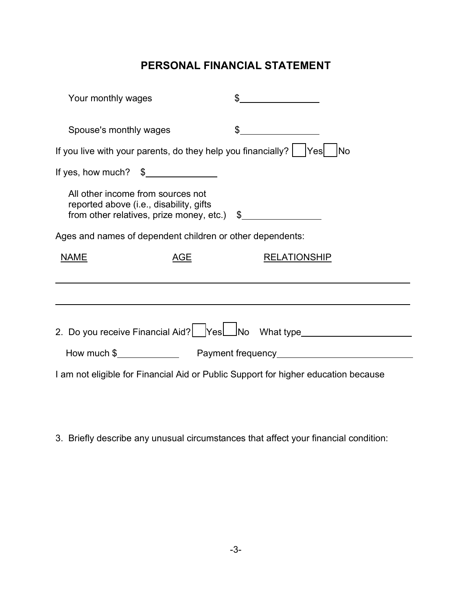# **PERSONAL FINANCIAL STATEMENT**

| Your monthly wages                                                                                                                 |                                                                                                                                                                                                                                                                                                                                                                     |  |
|------------------------------------------------------------------------------------------------------------------------------------|---------------------------------------------------------------------------------------------------------------------------------------------------------------------------------------------------------------------------------------------------------------------------------------------------------------------------------------------------------------------|--|
| Spouse's monthly wages                                                                                                             | $\begin{picture}(20,20) \put(0,0){\vector(1,0){100}} \put(15,0){\vector(1,0){100}} \put(15,0){\vector(1,0){100}} \put(15,0){\vector(1,0){100}} \put(15,0){\vector(1,0){100}} \put(15,0){\vector(1,0){100}} \put(15,0){\vector(1,0){100}} \put(15,0){\vector(1,0){100}} \put(15,0){\vector(1,0){100}} \put(15,0){\vector(1,0){100}} \put(15,0){\vector(1,0){100}} \$ |  |
| If you live with your parents, do they help you financially?<br><b>No</b><br> Yes                                                  |                                                                                                                                                                                                                                                                                                                                                                     |  |
| If yes, how much? $\frac{1}{2}$                                                                                                    |                                                                                                                                                                                                                                                                                                                                                                     |  |
| All other income from sources not<br>reported above (i.e., disability, gifts<br>from other relatives, prize money, etc.) $\quad \$ |                                                                                                                                                                                                                                                                                                                                                                     |  |
| Ages and names of dependent children or other dependents:                                                                          |                                                                                                                                                                                                                                                                                                                                                                     |  |
| <b>NAME</b><br><u>AGE</u>                                                                                                          | <b>RELATIONSHIP</b>                                                                                                                                                                                                                                                                                                                                                 |  |
|                                                                                                                                    |                                                                                                                                                                                                                                                                                                                                                                     |  |
|                                                                                                                                    |                                                                                                                                                                                                                                                                                                                                                                     |  |
|                                                                                                                                    | 2. Do you receive Financial Aid? Yes No What type                                                                                                                                                                                                                                                                                                                   |  |
|                                                                                                                                    |                                                                                                                                                                                                                                                                                                                                                                     |  |
| I am not eligible for Financial Aid or Public Support for higher education because                                                 |                                                                                                                                                                                                                                                                                                                                                                     |  |

3. Briefly describe any unusual circumstances that affect your financial condition: